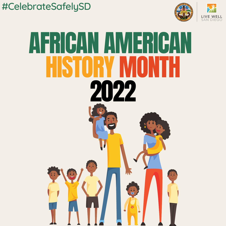#CelebrateSafelySD



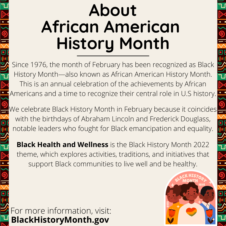# **About African American History Month**

Since 1976, the month of February has been recognized as Black History Month—also known as African American History Month. This is an annual celebration of the achievements by African Americans and a time to recognize their central role in U.S history.

We celebrate Black History Month in February because it coincides with the birthdays of Abraham Lincoln and Frederick Douglass, notable leaders who fought for Black emancipation and equality.

**Black Health and Wellness** is the Black History Month 2022 theme, which explores activities, traditions, and initiatives that support Black communities to live well and be healthy.

For more information, visit: **BlackHistoryMonth.gov**

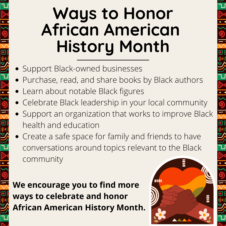# **Ways to Honor African American History Month**

- Support Black-owned businesses
- Purchase, read, and share books by Black authors
- Learn about notable Black figures
- Celebrate Black leadership in your local community
- Support an organization that works to improve Black health and education
- Create a safe space for family and friends to have conversations around topics relevant to the Black community

nn

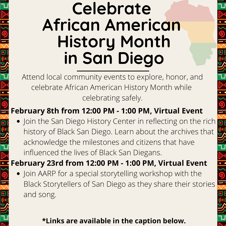### **Celebrate African American History Month in San Diego**

Attend local community events to explore, honor, and celebrate African American History Month while celebrating safely.

### **February 8th from 12:00 PM - 1:00 PM, Virtual Event**

• Join the San Diego History Center in reflecting on the rich history of Black San Diego. Learn about the archives that acknowledge the milestones and citizens that have influenced the lives of Black San Diegans.

 $rac{1}{\sqrt{2}}$ 

**February 23rd from 12:00 PM - 1:00 PM, Virtual Event**

• Join AARP for a special storytelling workshop with the Black Storytellers of San Diego as they share their stories and song.

### **\*Links are available in the caption below.**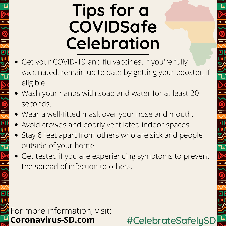### **Tips for a COVIDSafe Celebration**

- Get your COVID-19 and flu vaccines. If you're fully vaccinated, remain up to date by getting your booster, if eligible.
- Wash your hands with soap and water for at least 20 seconds.
- Wear a well-fitted mask over your nose and mouth.
- Avoid crowds and poorly ventilated indoor spaces.
- Stay 6 feet apart from others who are sick and people outside of your home.
- Get tested if you are experiencing symptoms to prevent the spread of infection to others.

For more information, visit: **Coronavirus-SD.com** #CelebrateSafelySD

 $\frac{1}{2}$ 

UL-10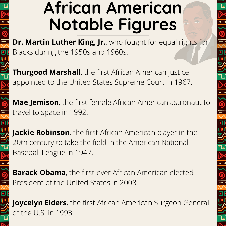## **African American Notable Figures**

**Dr. Martin Luther King, Jr.**, who fought for equal rights for Blacks during the 1950s and 1960s.

**Thurgood Marshall**, the first African American justice appointed to the United States Supreme Court in 1967.

**Mae Jemison**, the first female African American astronaut to travel to space in 1992.

**Jackie Robinson**, the first African American player in the 20th century to take the field in the American National Baseball League in 1947.

**Barack Obama**, the first-ever African American elected President of the United States in 2008.

**Joycelyn Elders**, the first African American Surgeon General of the U.S. in 1993.